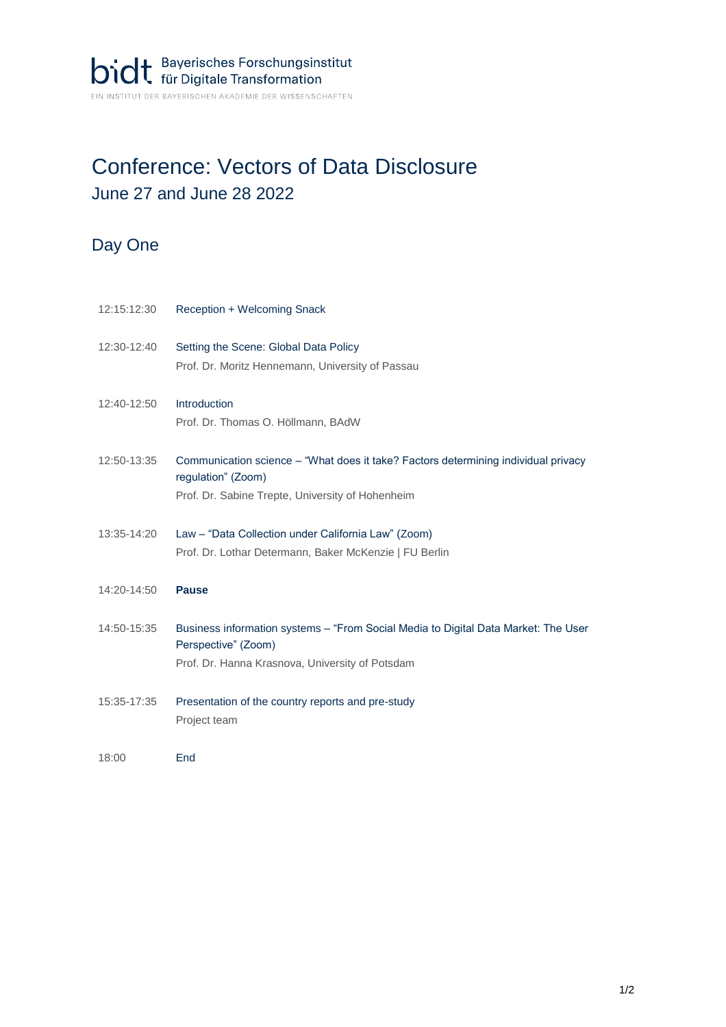## Conference: Vectors of Data Disclosure June 27 and June 28 2022

## Day One

| 12:15:12:30 | Reception + Welcoming Snack                                                                                   |
|-------------|---------------------------------------------------------------------------------------------------------------|
| 12:30-12:40 | Setting the Scene: Global Data Policy<br>Prof. Dr. Moritz Hennemann, University of Passau                     |
| 12:40-12:50 | Introduction<br>Prof. Dr. Thomas O. Höllmann, BAdW                                                            |
| 12:50-13:35 | Communication science - "What does it take? Factors determining individual privacy<br>regulation" (Zoom)      |
|             | Prof. Dr. Sabine Trepte, University of Hohenheim                                                              |
| 13:35-14:20 | Law - "Data Collection under California Law" (Zoom)<br>Prof. Dr. Lothar Determann, Baker McKenzie   FU Berlin |
| 14:20-14:50 | <b>Pause</b>                                                                                                  |
| 14:50-15:35 | Business information systems - "From Social Media to Digital Data Market: The User<br>Perspective" (Zoom)     |
|             | Prof. Dr. Hanna Krasnova, University of Potsdam                                                               |
| 15:35-17:35 | Presentation of the country reports and pre-study<br>Project team                                             |
| 18:00       | End                                                                                                           |